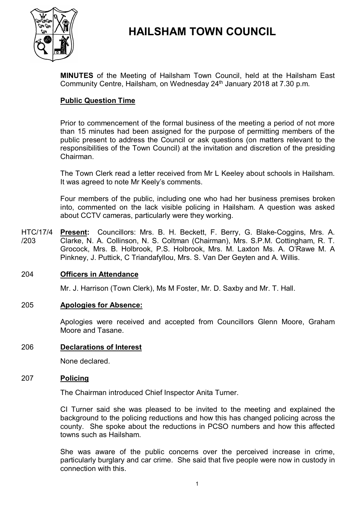

# **HAILSHAM TOWN COUNCIL**

**MINUTES** of the Meeting of Hailsham Town Council, held at the Hailsham East Community Centre, Hailsham, on Wednesday 24<sup>th</sup> January 2018 at 7.30 p.m.

## **Public Question Time**

Prior to commencement of the formal business of the meeting a period of not more than 15 minutes had been assigned for the purpose of permitting members of the public present to address the Council or ask questions (on matters relevant to the responsibilities of the Town Council) at the invitation and discretion of the presiding Chairman.

The Town Clerk read a letter received from Mr L Keeley about schools in Hailsham. It was agreed to note Mr Keely's comments.

Four members of the public, including one who had her business premises broken into, commented on the lack visible policing in Hailsham. A question was asked about CCTV cameras, particularly were they working.

HTC/17/4 /203 **Present:** Councillors: Mrs. B. H. Beckett, F. Berry, G. Blake-Coggins, Mrs. A. Clarke, N. A. Collinson, N. S. Coltman (Chairman), Mrs. S.P.M. Cottingham, R. T. Grocock, Mrs. B. Holbrook, P.S. Holbrook, Mrs. M. Laxton Ms. A. O'Rawe M. A Pinkney, J. Puttick, C Triandafyllou, Mrs. S. Van Der Geyten and A. Willis.

#### 204 **Officers in Attendance**

Mr. J. Harrison (Town Clerk), Ms M Foster, Mr. D. Saxby and Mr. T. Hall.

#### 205 **Apologies for Absence:**

Apologies were received and accepted from Councillors Glenn Moore, Graham Moore and Tasane.

#### 206 **Declarations of Interest**

None declared.

#### 207 **Policing**

The Chairman introduced Chief Inspector Anita Turner.

CI Turner said she was pleased to be invited to the meeting and explained the background to the policing reductions and how this has changed policing across the county. She spoke about the reductions in PCSO numbers and how this affected towns such as Hailsham.

She was aware of the public concerns over the perceived increase in crime, particularly burglary and car crime. She said that five people were now in custody in connection with this.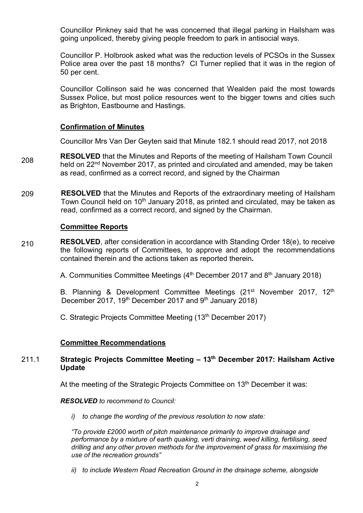Councillor Pinkney said that he was concerned that illegal parking in Hailsham was going unpoliced, thereby giving people freedom to park in antisocial ways.

Councillor P. Holbrook asked what was the reduction levels of PCSOs in the Sussex Police area over the past 18 months? CI Turner replied that it was in the region of 50 per cent.

Councillor Collinson said he was concerned that Wealden paid the most towards Sussex Police, but most police resources went to the bigger towns and cities such as Brighton, Eastbourne and Hastings.

### **Confirmation of Minutes**

Councillor Mrs Van Der Geyten said that Minute 182.1 should read 2017, not 2018

- 208 **RESOLVED** that the Minutes and Reports of the meeting of Hailsham Town Council held on 22<sup>nd</sup> November 2017, as printed and circulated and amended, may be taken as read, confirmed as a correct record, and signed by the Chairman
- 209 **RESOLVED** that the Minutes and Reports of the extraordinary meeting of Hailsham Town Council held on 10<sup>th</sup> January 2018, as printed and circulated, may be taken as read, confirmed as a correct record, and signed by the Chairman.

#### **Committee Reports**

210 **RESOLVED**, after consideration in accordance with Standing Order 18(e), to receive the following reports of Committees, to approve and adopt the recommendations contained therein and the actions taken as reported therein**.**

A. Communities Committee Meetings (4<sup>th</sup> December 2017 and 8<sup>th</sup> January 2018)

B. Planning & Development Committee Meetings (21<sup>st</sup> November 2017, 12<sup>th</sup> December 2017, 19<sup>th</sup> December 2017 and 9<sup>th</sup> January 2018)

C. Strategic Projects Committee Meeting (13<sup>th</sup> December 2017)

#### **Committee Recommendations**

#### 211.1 **Strategic Projects Committee Meeting – 13 th December 2017: Hailsham Active Update**

At the meeting of the Strategic Projects Committee on 13<sup>th</sup> December it was:

#### *RESOLVED to recommend to Council:*

*i) to change the wording of the previous resolution to now state:* 

*"To provide £2000 worth of pitch maintenance primarily to improve drainage and performance by a mixture of earth quaking, verti draining, weed killing, fertilising, seed drilling and any other proven methods for the improvement of grass for maximising the use of the recreation grounds"*

*ii) to include Western Road Recreation Ground in the drainage scheme, alongside*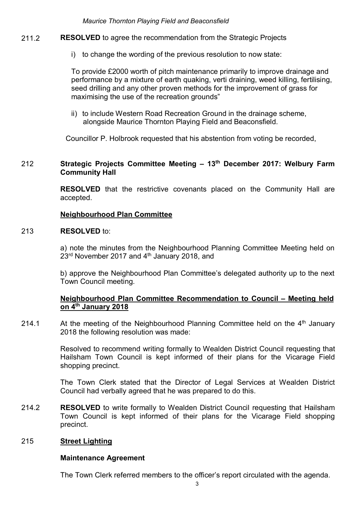*Maurice Thornton Playing Field and Beaconsfield* 

- 211.2 **RESOLVED** to agree the recommendation from the Strategic Projects
	- i) to change the wording of the previous resolution to now state:

To provide £2000 worth of pitch maintenance primarily to improve drainage and performance by a mixture of earth quaking, verti draining, weed killing, fertilising, seed drilling and any other proven methods for the improvement of grass for maximising the use of the recreation grounds"

ii) to include Western Road Recreation Ground in the drainage scheme, alongside Maurice Thornton Playing Field and Beaconsfield.

Councillor P. Holbrook requested that his abstention from voting be recorded,

#### 212 **Strategic Projects Committee Meeting – 13 th December 2017: Welbury Farm Community Hall**

**RESOLVED** that the restrictive covenants placed on the Community Hall are accepted.

#### **Neighbourhood Plan Committee**

#### 213 **RESOLVED** to:

a) note the minutes from the Neighbourhood Planning Committee Meeting held on 23<sup>rd</sup> November 2017 and 4<sup>th</sup> January 2018, and

b) approve the Neighbourhood Plan Committee's delegated authority up to the next Town Council meeting.

#### **Neighbourhood Plan Committee Recommendation to Council – Meeting held on 4th January 2018**

214.1 At the meeting of the Neighbourhood Planning Committee held on the  $4<sup>th</sup>$  January 2018 the following resolution was made:

> Resolved to recommend writing formally to Wealden District Council requesting that Hailsham Town Council is kept informed of their plans for the Vicarage Field shopping precinct.

> The Town Clerk stated that the Director of Legal Services at Wealden District Council had verbally agreed that he was prepared to do this.

214.2 **RESOLVED** to write formally to Wealden District Council requesting that Hailsham Town Council is kept informed of their plans for the Vicarage Field shopping precinct.

#### 215 **Street Lighting**

#### **Maintenance Agreement**

The Town Clerk referred members to the officer's report circulated with the agenda.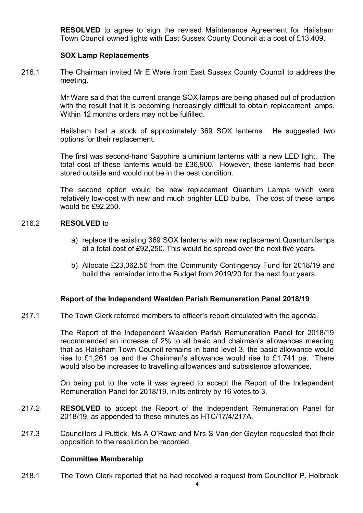**RESOLVED** to agree to sign the revised Maintenance Agreement for Hailsham Town Council owned lights with East Sussex County Council at a cost of £13,409.

#### **SOX Lamp Replacements**

216.1 The Chairman invited Mr E Ware from East Sussex County Council to address the meeting.

> Mr Ware said that the current orange SOX lamps are being phased out of production with the result that it is becoming increasingly difficult to obtain replacement lamps. Within 12 months orders may not be fulfilled.

> Hailsham had a stock of approximately 369 SOX lanterns. He suggested two options for their replacement.

> The first was second-hand Sapphire aluminium lanterns with a new LED light. The total cost of these lanterns would be £36,900. However, these lanterns had been stored outside and would not be in the best condition.

> The second option would be new replacement Quantum Lamps which were relatively low-cost with new and much brighter LED bulbs. The cost of these lamps would be £92,250.

#### 216.2 **RESOLVED** to

- a) replace the existing 369 SOX lanterns with new replacement Quantum lamps at a total cost of £92,250. This would be spread over the next five years.
- b) Allocate £23,062.50 from the Community Contingency Fund for 2018/19 and build the remainder into the Budget from 2019/20 for the next four years.

#### **Report of the Independent Wealden Parish Remuneration Panel 2018/19**

217.1 The Town Clerk referred members to officer's report circulated with the agenda.

> The Report of the Independent Wealden Parish Remuneration Panel for 2018/19 recommended an increase of 2% to all basic and chairman's allowances meaning that as Hailsham Town Council remains in band level 3, the basic allowance would rise to £1,261 pa and the Chairman's allowance would rise to £1,741 pa. There would also be increases to travelling allowances and subsistence allowances.

> On being put to the vote it was agreed to accept the Report of the Independent Remuneration Panel for 2018/19, in its entirety by 16 votes to 3.

- 217.2 **RESOLVED** to accept the Report of the Independent Remuneration Panel for 2018/19, as appended to these minutes as HTC/17/4/217A.
- 217.3 Councillors J Puttick, Ms A O'Rawe and Mrs S Van der Geyten requested that their opposition to the resolution be recorded.

#### **Committee Membership**

218.1 The Town Clerk reported that he had received a request from Councillor P. Holbrook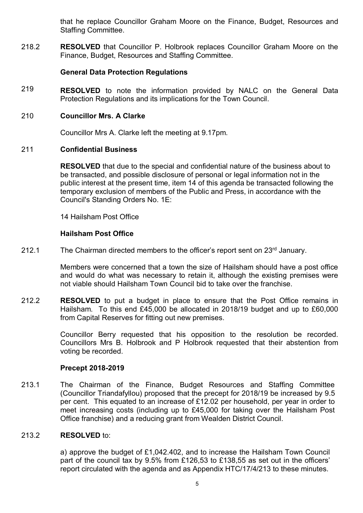that he replace Councillor Graham Moore on the Finance, Budget, Resources and Staffing Committee.

218.2 **RESOLVED** that Councillor P. Holbrook replaces Councillor Graham Moore on the Finance, Budget, Resources and Staffing Committee.

## **General Data Protection Regulations**

219 **RESOLVED** to note the information provided by NALC on the General Data Protection Regulations and its implications for the Town Council.

### 210 **Councillor Mrs. A Clarke**

Councillor Mrs A. Clarke left the meeting at 9.17pm.

### 211 **Confidential Business**

**RESOLVED** that due to the special and confidential nature of the business about to be transacted, and possible disclosure of personal or legal information not in the public interest at the present time, item 14 of this agenda be transacted following the temporary exclusion of members of the Public and Press, in accordance with the Council's Standing Orders No. 1E:

14 Hailsham Post Office

### **Hailsham Post Office**

212.1 The Chairman directed members to the officer's report sent on 23<sup>rd</sup> January.

> Members were concerned that a town the size of Hailsham should have a post office and would do what was necessary to retain it, although the existing premises were not viable should Hailsham Town Council bid to take over the franchise.

212.2 **RESOLVED** to put a budget in place to ensure that the Post Office remains in Hailsham. To this end £45,000 be allocated in 2018/19 budget and up to £60,000 from Capital Reserves for fitting out new premises.

> Councillor Berry requested that his opposition to the resolution be recorded. Councillors Mrs B. Holbrook and P Holbrook requested that their abstention from voting be recorded.

#### **Precept 2018-2019**

213.1 The Chairman of the Finance, Budget Resources and Staffing Committee (Councillor Triandafyllou) proposed that the precept for 2018/19 be increased by 9.5 per cent. This equated to an increase of £12.02 per household, per year in order to meet increasing costs (including up to £45,000 for taking over the Hailsham Post Office franchise) and a reducing grant from Wealden District Council.

#### 213.2 **RESOLVED** to:

a) approve the budget of £1,042.402, and to increase the Hailsham Town Council part of the council tax by 9.5% from £126,53 to £138,55 as set out in the officers' report circulated with the agenda and as Appendix HTC/17/4/213 to these minutes.